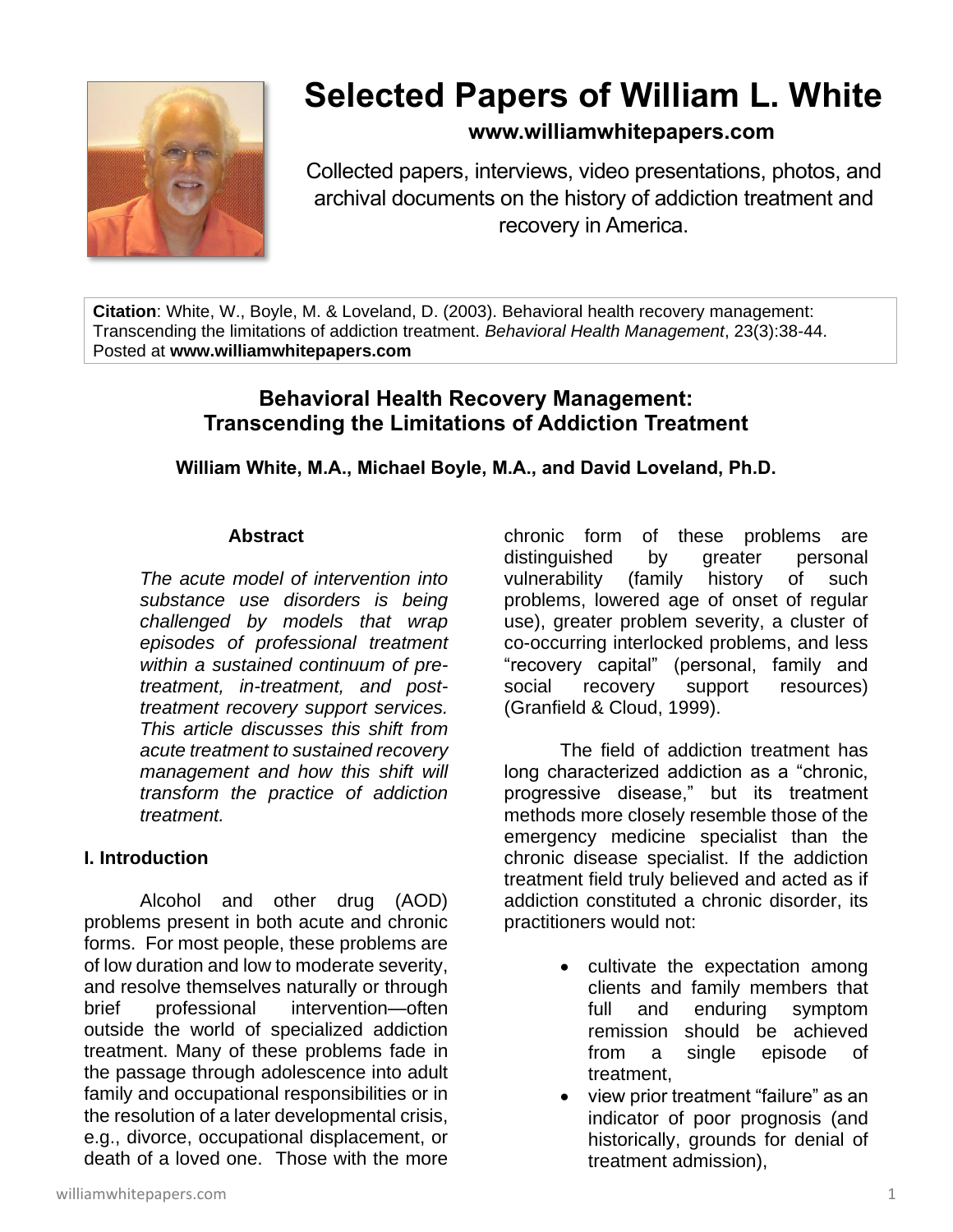

# **Selected Papers of William L. White**

# **www.williamwhitepapers.com**

Collected papers, interviews, video presentations, photos, and archival documents on the history of addiction treatment and recovery in America.

**Citation**: White, W., Boyle, M. & Loveland, D. (2003). Behavioral health recovery management: Transcending the limitations of addiction treatment. *Behavioral Health Management*, 23(3):38-44. Posted at **www.williamwhitepapers.com**

# **Behavioral Health Recovery Management: Transcending the Limitations of Addiction Treatment**

# **William White, M.A., Michael Boyle, M.A., and David Loveland, Ph.D.**

#### **Abstract**

*The acute model of intervention into substance use disorders is being challenged by models that wrap episodes of professional treatment within a sustained continuum of pretreatment, in-treatment, and posttreatment recovery support services. This article discusses this shift from acute treatment to sustained recovery management and how this shift will transform the practice of addiction treatment.* 

# **I. Introduction**

Alcohol and other drug (AOD) problems present in both acute and chronic forms. For most people, these problems are of low duration and low to moderate severity, and resolve themselves naturally or through brief professional intervention—often outside the world of specialized addiction treatment. Many of these problems fade in the passage through adolescence into adult family and occupational responsibilities or in the resolution of a later developmental crisis, e.g., divorce, occupational displacement, or death of a loved one. Those with the more

chronic form of these problems are distinguished by greater personal vulnerability (family history of such problems, lowered age of onset of regular use), greater problem severity, a cluster of co-occurring interlocked problems, and less "recovery capital" (personal, family and social recovery support resources) (Granfield & Cloud, 1999).

The field of addiction treatment has long characterized addiction as a "chronic, progressive disease," but its treatment methods more closely resemble those of the emergency medicine specialist than the chronic disease specialist. If the addiction treatment field truly believed and acted as if addiction constituted a chronic disorder, its practitioners would not:

- cultivate the expectation among clients and family members that full and enduring symptom remission should be achieved from a single episode of treatment,
- view prior treatment "failure" as an indicator of poor prognosis (and historically, grounds for denial of treatment admission),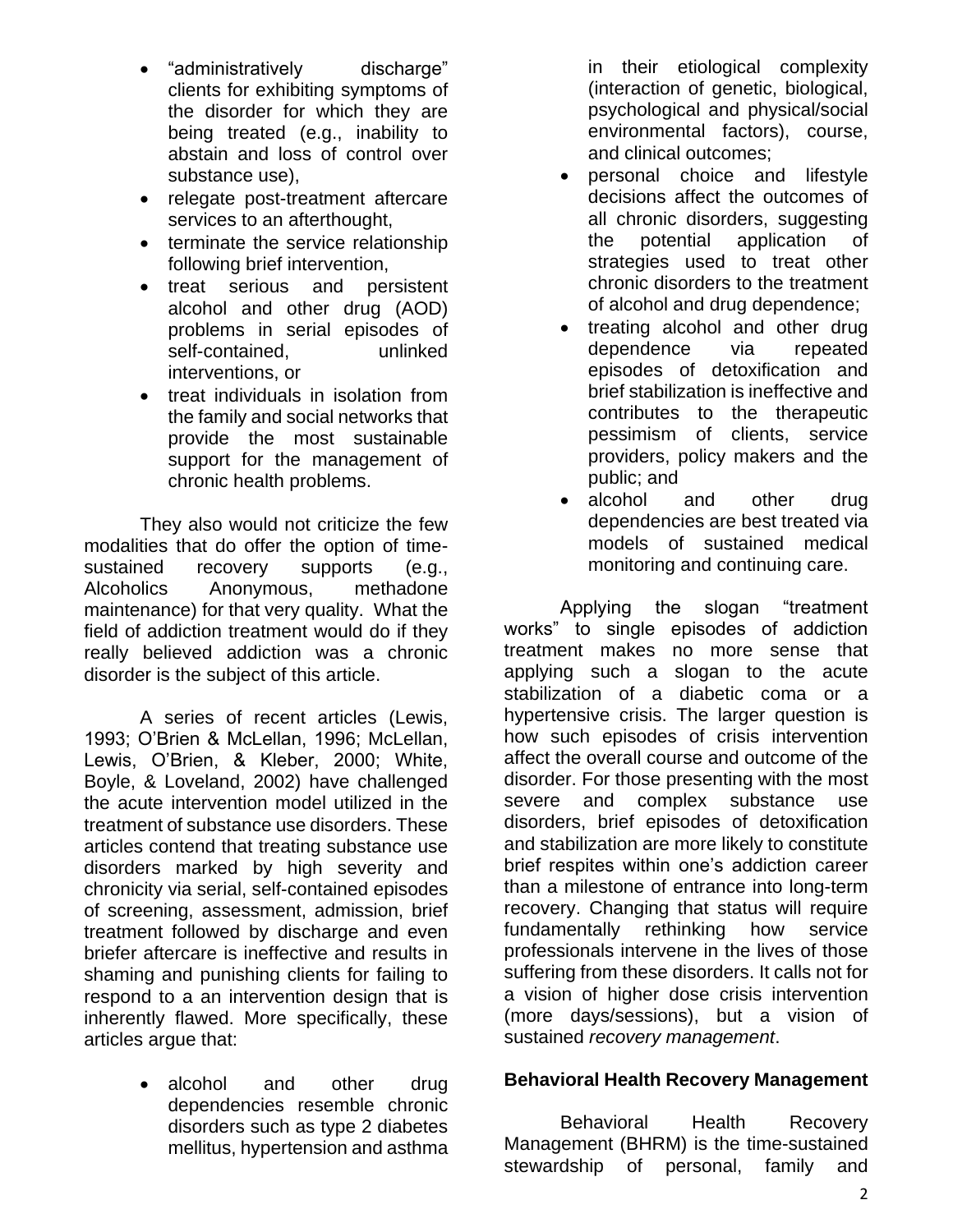- "administratively discharge" clients for exhibiting symptoms of the disorder for which they are being treated (e.g., inability to abstain and loss of control over substance use),
- relegate post-treatment aftercare services to an afterthought,
- terminate the service relationship following brief intervention,
- treat serious and persistent alcohol and other drug (AOD) problems in serial episodes of self-contained, unlinked interventions, or
- treat individuals in isolation from the family and social networks that provide the most sustainable support for the management of chronic health problems.

They also would not criticize the few modalities that do offer the option of timesustained recovery supports (e.g., Alcoholics Anonymous, methadone maintenance) for that very quality. What the field of addiction treatment would do if they really believed addiction was a chronic disorder is the subject of this article.

A series of recent articles (Lewis, 1993; O'Brien & McLellan, 1996; McLellan, Lewis, O'Brien, & Kleber, 2000; White, Boyle, & Loveland, 2002) have challenged the acute intervention model utilized in the treatment of substance use disorders. These articles contend that treating substance use disorders marked by high severity and chronicity via serial, self-contained episodes of screening, assessment, admission, brief treatment followed by discharge and even briefer aftercare is ineffective and results in shaming and punishing clients for failing to respond to a an intervention design that is inherently flawed. More specifically, these articles argue that:

> • alcohol and other drug dependencies resemble chronic disorders such as type 2 diabetes mellitus, hypertension and asthma

in their etiological complexity (interaction of genetic, biological, psychological and physical/social environmental factors), course, and clinical outcomes;

- personal choice and lifestyle decisions affect the outcomes of all chronic disorders, suggesting the potential application of strategies used to treat other chronic disorders to the treatment of alcohol and drug dependence;
- treating alcohol and other drug dependence via repeated episodes of detoxification and brief stabilization is ineffective and contributes to the therapeutic pessimism of clients, service providers, policy makers and the public; and
- alcohol and other drug dependencies are best treated via models of sustained medical monitoring and continuing care.

Applying the slogan "treatment works" to single episodes of addiction treatment makes no more sense that applying such a slogan to the acute stabilization of a diabetic coma or a hypertensive crisis. The larger question is how such episodes of crisis intervention affect the overall course and outcome of the disorder. For those presenting with the most severe and complex substance use disorders, brief episodes of detoxification and stabilization are more likely to constitute brief respites within one's addiction career than a milestone of entrance into long-term recovery. Changing that status will require fundamentally rethinking how service professionals intervene in the lives of those suffering from these disorders. It calls not for a vision of higher dose crisis intervention (more days/sessions), but a vision of sustained *recovery management*.

# **Behavioral Health Recovery Management**

Behavioral Health Recovery Management (BHRM) is the time-sustained stewardship of personal, family and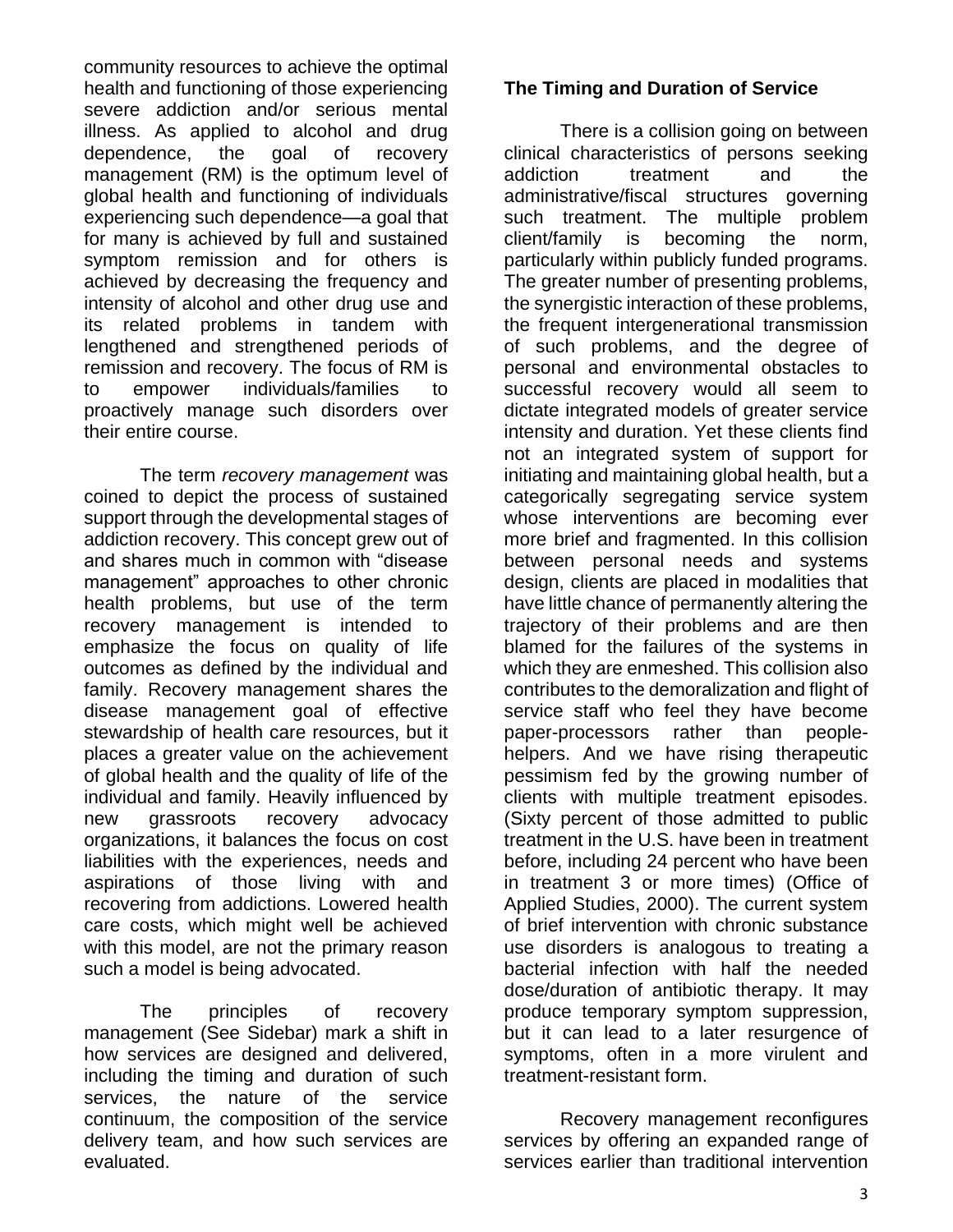community resources to achieve the optimal health and functioning of those experiencing severe addiction and/or serious mental illness. As applied to alcohol and drug dependence, the goal of recovery management (RM) is the optimum level of global health and functioning of individuals experiencing such dependence—a goal that for many is achieved by full and sustained symptom remission and for others is achieved by decreasing the frequency and intensity of alcohol and other drug use and its related problems in tandem with lengthened and strengthened periods of remission and recovery. The focus of RM is to empower individuals/families to proactively manage such disorders over their entire course.

The term *recovery management* was coined to depict the process of sustained support through the developmental stages of addiction recovery. This concept grew out of and shares much in common with "disease management" approaches to other chronic health problems, but use of the term recovery management is intended to emphasize the focus on quality of life outcomes as defined by the individual and family. Recovery management shares the disease management goal of effective stewardship of health care resources, but it places a greater value on the achievement of global health and the quality of life of the individual and family. Heavily influenced by new grassroots recovery advocacy organizations, it balances the focus on cost liabilities with the experiences, needs and aspirations of those living with and recovering from addictions. Lowered health care costs, which might well be achieved with this model, are not the primary reason such a model is being advocated.

The principles of recovery management (See Sidebar) mark a shift in how services are designed and delivered, including the timing and duration of such services, the nature of the service continuum, the composition of the service delivery team, and how such services are evaluated.

#### **The Timing and Duration of Service**

There is a collision going on between clinical characteristics of persons seeking addiction treatment and the administrative/fiscal structures governing such treatment. The multiple problem client/family is becoming the norm, particularly within publicly funded programs. The greater number of presenting problems, the synergistic interaction of these problems, the frequent intergenerational transmission of such problems, and the degree of personal and environmental obstacles to successful recovery would all seem to dictate integrated models of greater service intensity and duration. Yet these clients find not an integrated system of support for initiating and maintaining global health, but a categorically segregating service system whose interventions are becoming ever more brief and fragmented. In this collision between personal needs and systems design, clients are placed in modalities that have little chance of permanently altering the trajectory of their problems and are then blamed for the failures of the systems in which they are enmeshed. This collision also contributes to the demoralization and flight of service staff who feel they have become paper-processors rather than peoplehelpers. And we have rising therapeutic pessimism fed by the growing number of clients with multiple treatment episodes. (Sixty percent of those admitted to public treatment in the U.S. have been in treatment before, including 24 percent who have been in treatment 3 or more times) (Office of Applied Studies, 2000). The current system of brief intervention with chronic substance use disorders is analogous to treating a bacterial infection with half the needed dose/duration of antibiotic therapy. It may produce temporary symptom suppression, but it can lead to a later resurgence of symptoms, often in a more virulent and treatment-resistant form.

Recovery management reconfigures services by offering an expanded range of services earlier than traditional intervention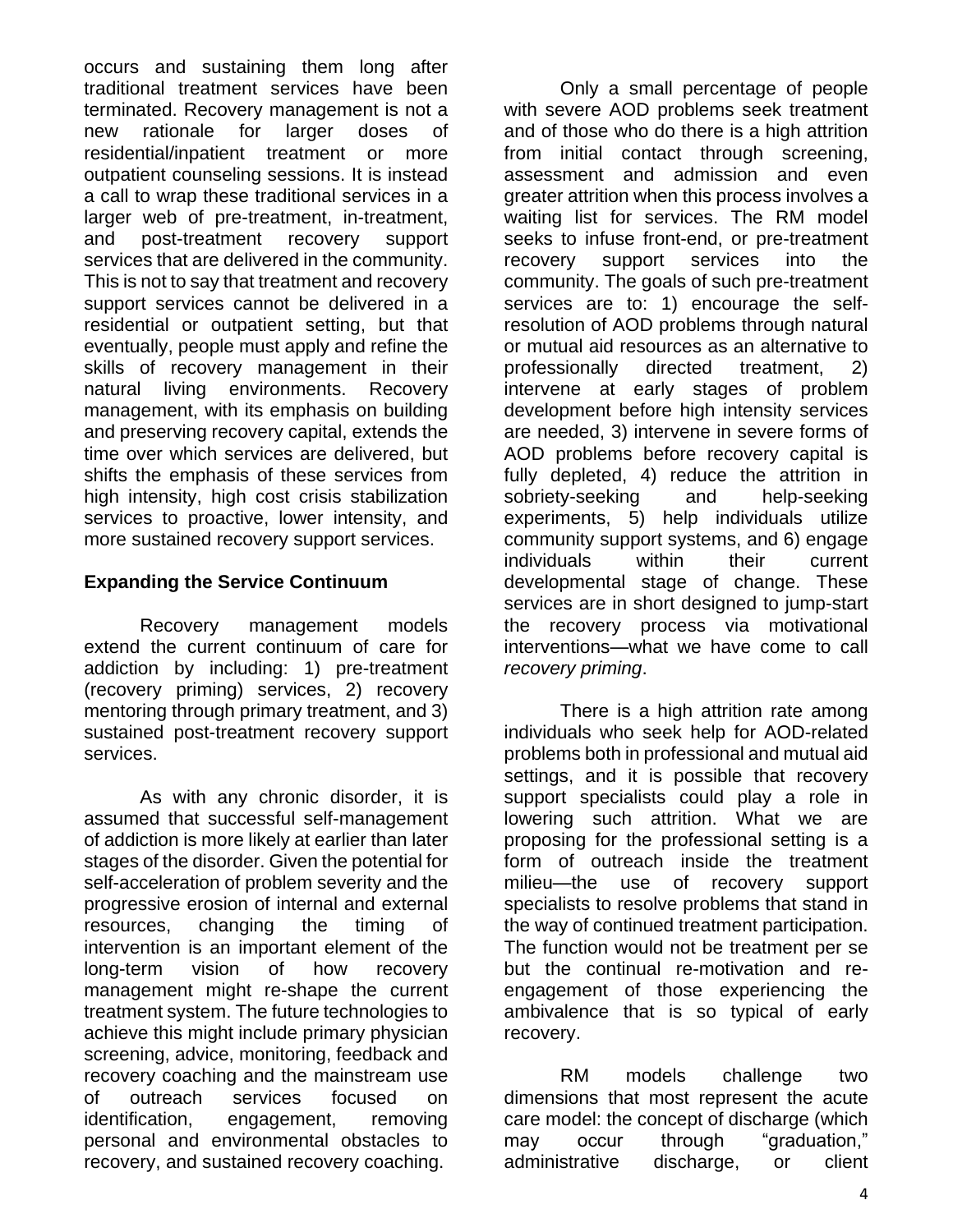occurs and sustaining them long after traditional treatment services have been terminated. Recovery management is not a new rationale for larger doses of residential/inpatient treatment or more outpatient counseling sessions. It is instead a call to wrap these traditional services in a larger web of pre-treatment, in-treatment, and post-treatment recovery support services that are delivered in the community. This is not to say that treatment and recovery support services cannot be delivered in a residential or outpatient setting, but that eventually, people must apply and refine the skills of recovery management in their natural living environments. Recovery management, with its emphasis on building and preserving recovery capital, extends the time over which services are delivered, but shifts the emphasis of these services from high intensity, high cost crisis stabilization services to proactive, lower intensity, and more sustained recovery support services.

# **Expanding the Service Continuum**

Recovery management models extend the current continuum of care for addiction by including: 1) pre-treatment (recovery priming) services, 2) recovery mentoring through primary treatment, and 3) sustained post-treatment recovery support services.

As with any chronic disorder, it is assumed that successful self-management of addiction is more likely at earlier than later stages of the disorder. Given the potential for self-acceleration of problem severity and the progressive erosion of internal and external resources, changing the timing of intervention is an important element of the long-term vision of how recovery management might re-shape the current treatment system. The future technologies to achieve this might include primary physician screening, advice, monitoring, feedback and recovery coaching and the mainstream use of outreach services focused on identification, engagement, removing personal and environmental obstacles to recovery, and sustained recovery coaching.

Only a small percentage of people with severe AOD problems seek treatment and of those who do there is a high attrition from initial contact through screening, assessment and admission and even greater attrition when this process involves a waiting list for services. The RM model seeks to infuse front-end, or pre-treatment recovery support services into the community. The goals of such pre-treatment services are to: 1) encourage the selfresolution of AOD problems through natural or mutual aid resources as an alternative to professionally directed treatment, 2) intervene at early stages of problem development before high intensity services are needed, 3) intervene in severe forms of AOD problems before recovery capital is fully depleted, 4) reduce the attrition in sobriety-seeking and help-seeking experiments, 5) help individuals utilize community support systems, and 6) engage individuals within their current developmental stage of change. These services are in short designed to jump-start the recovery process via motivational interventions—what we have come to call *recovery priming*.

There is a high attrition rate among individuals who seek help for AOD-related problems both in professional and mutual aid settings, and it is possible that recovery support specialists could play a role in lowering such attrition. What we are proposing for the professional setting is a form of outreach inside the treatment milieu—the use of recovery support specialists to resolve problems that stand in the way of continued treatment participation. The function would not be treatment per se but the continual re-motivation and reengagement of those experiencing the ambivalence that is so typical of early recovery.

RM models challenge two dimensions that most represent the acute care model: the concept of discharge (which may occur through "graduation." administrative discharge, or client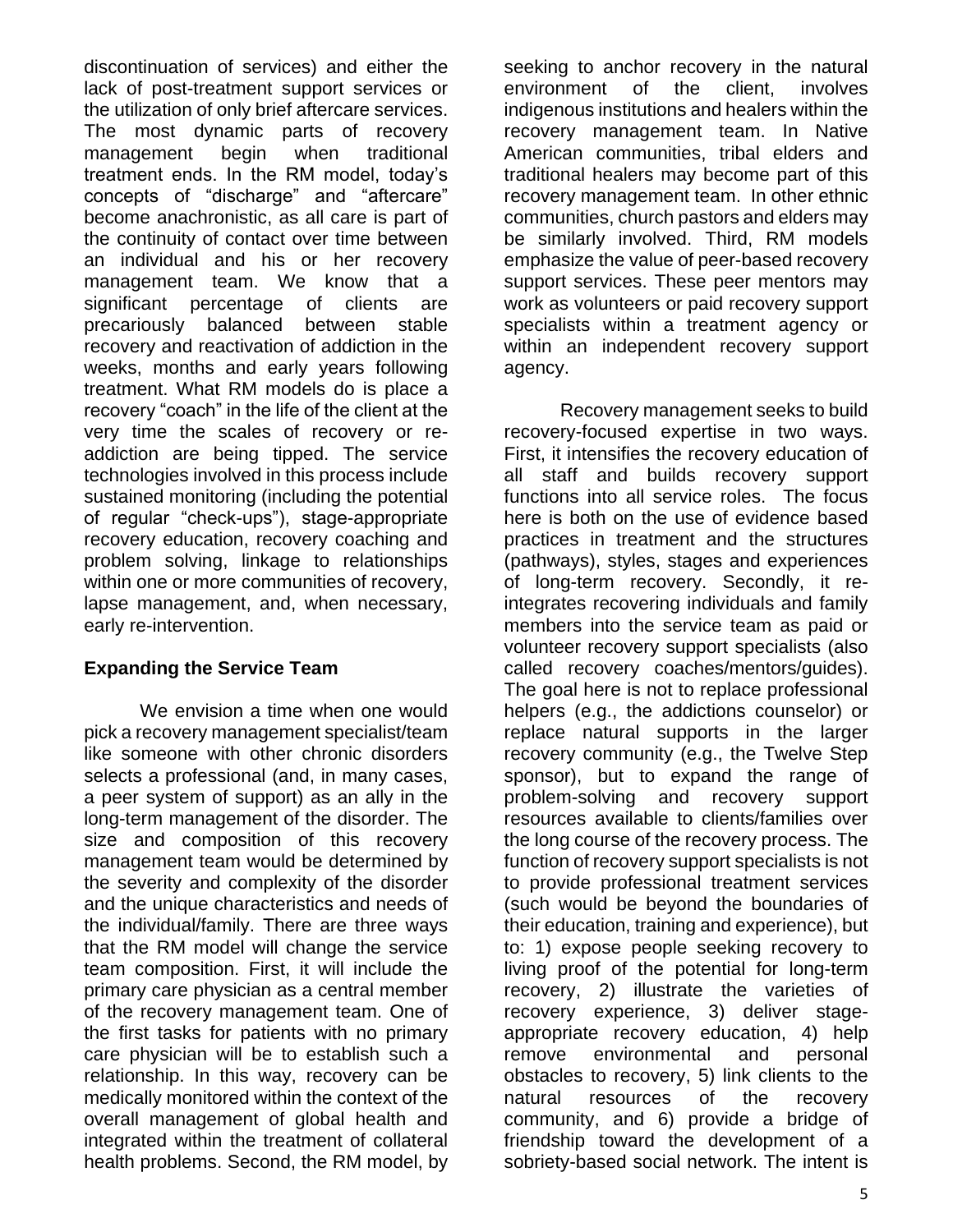discontinuation of services) and either the lack of post-treatment support services or the utilization of only brief aftercare services. The most dynamic parts of recovery management begin when traditional treatment ends. In the RM model, today's concepts of "discharge" and "aftercare" become anachronistic, as all care is part of the continuity of contact over time between an individual and his or her recovery management team. We know that a significant percentage of clients are precariously balanced between stable recovery and reactivation of addiction in the weeks, months and early years following treatment. What RM models do is place a recovery "coach" in the life of the client at the very time the scales of recovery or readdiction are being tipped. The service technologies involved in this process include sustained monitoring (including the potential of regular "check-ups"), stage-appropriate recovery education, recovery coaching and problem solving, linkage to relationships within one or more communities of recovery, lapse management, and, when necessary, early re-intervention.

# **Expanding the Service Team**

We envision a time when one would pick a recovery management specialist/team like someone with other chronic disorders selects a professional (and, in many cases, a peer system of support) as an ally in the long-term management of the disorder. The size and composition of this recovery management team would be determined by the severity and complexity of the disorder and the unique characteristics and needs of the individual/family. There are three ways that the RM model will change the service team composition. First, it will include the primary care physician as a central member of the recovery management team. One of the first tasks for patients with no primary care physician will be to establish such a relationship. In this way, recovery can be medically monitored within the context of the overall management of global health and integrated within the treatment of collateral health problems. Second, the RM model, by seeking to anchor recovery in the natural environment of the client, involves indigenous institutions and healers within the recovery management team. In Native American communities, tribal elders and traditional healers may become part of this recovery management team. In other ethnic communities, church pastors and elders may be similarly involved. Third, RM models emphasize the value of peer-based recovery support services. These peer mentors may work as volunteers or paid recovery support specialists within a treatment agency or within an independent recovery support agency.

Recovery management seeks to build recovery-focused expertise in two ways. First, it intensifies the recovery education of all staff and builds recovery support functions into all service roles. The focus here is both on the use of evidence based practices in treatment and the structures (pathways), styles, stages and experiences of long-term recovery. Secondly, it reintegrates recovering individuals and family members into the service team as paid or volunteer recovery support specialists (also called recovery coaches/mentors/guides). The goal here is not to replace professional helpers (e.g., the addictions counselor) or replace natural supports in the larger recovery community (e.g., the Twelve Step sponsor), but to expand the range of problem-solving and recovery support resources available to clients/families over the long course of the recovery process. The function of recovery support specialists is not to provide professional treatment services (such would be beyond the boundaries of their education, training and experience), but to: 1) expose people seeking recovery to living proof of the potential for long-term recovery, 2) illustrate the varieties of recovery experience, 3) deliver stageappropriate recovery education, 4) help remove environmental and personal obstacles to recovery, 5) link clients to the natural resources of the recovery community, and 6) provide a bridge of friendship toward the development of a sobriety-based social network. The intent is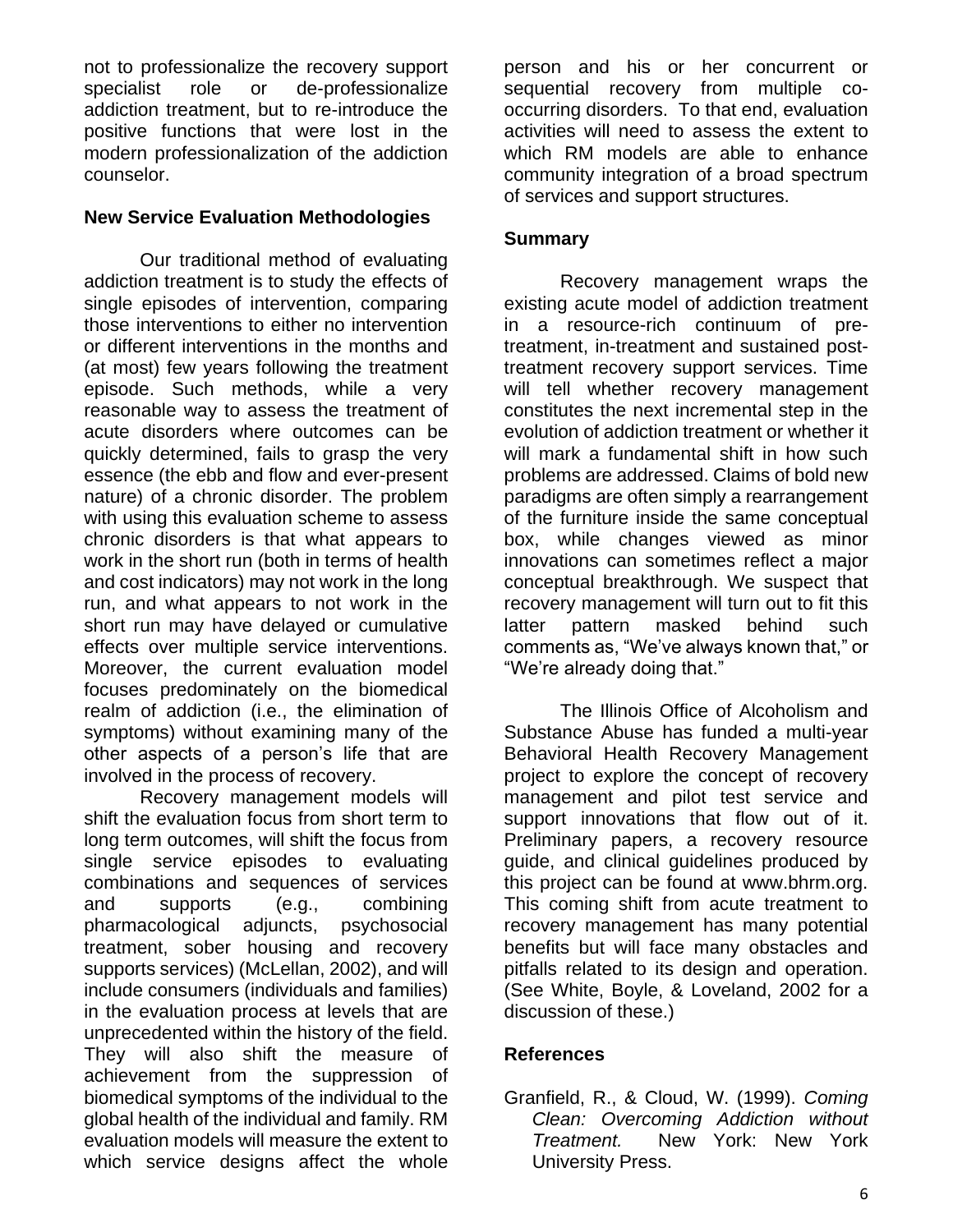not to professionalize the recovery support specialist role or de-professionalize addiction treatment, but to re-introduce the positive functions that were lost in the modern professionalization of the addiction counselor.

#### **New Service Evaluation Methodologies**

Our traditional method of evaluating addiction treatment is to study the effects of single episodes of intervention, comparing those interventions to either no intervention or different interventions in the months and (at most) few years following the treatment episode. Such methods, while a very reasonable way to assess the treatment of acute disorders where outcomes can be quickly determined, fails to grasp the very essence (the ebb and flow and ever-present nature) of a chronic disorder. The problem with using this evaluation scheme to assess chronic disorders is that what appears to work in the short run (both in terms of health and cost indicators) may not work in the long run, and what appears to not work in the short run may have delayed or cumulative effects over multiple service interventions. Moreover, the current evaluation model focuses predominately on the biomedical realm of addiction (i.e., the elimination of symptoms) without examining many of the other aspects of a person's life that are involved in the process of recovery.

Recovery management models will shift the evaluation focus from short term to long term outcomes, will shift the focus from single service episodes to evaluating combinations and sequences of services and supports (e.g., combining pharmacological adjuncts, psychosocial treatment, sober housing and recovery supports services) (McLellan, 2002), and will include consumers (individuals and families) in the evaluation process at levels that are unprecedented within the history of the field. They will also shift the measure of achievement from the suppression of biomedical symptoms of the individual to the global health of the individual and family. RM evaluation models will measure the extent to which service designs affect the whole

person and his or her concurrent or sequential recovery from multiple cooccurring disorders. To that end, evaluation activities will need to assess the extent to which RM models are able to enhance community integration of a broad spectrum of services and support structures.

### **Summary**

Recovery management wraps the existing acute model of addiction treatment in a resource-rich continuum of pretreatment, in-treatment and sustained posttreatment recovery support services. Time will tell whether recovery management constitutes the next incremental step in the evolution of addiction treatment or whether it will mark a fundamental shift in how such problems are addressed. Claims of bold new paradigms are often simply a rearrangement of the furniture inside the same conceptual box, while changes viewed as minor innovations can sometimes reflect a major conceptual breakthrough. We suspect that recovery management will turn out to fit this latter pattern masked behind such comments as, "We've always known that," or "We're already doing that."

The Illinois Office of Alcoholism and Substance Abuse has funded a multi-year Behavioral Health Recovery Management project to explore the concept of recovery management and pilot test service and support innovations that flow out of it. Preliminary papers, a recovery resource guide, and clinical guidelines produced by this project can be found at www.bhrm.org. This coming shift from acute treatment to recovery management has many potential benefits but will face many obstacles and pitfalls related to its design and operation. (See White, Boyle, & Loveland, 2002 for a discussion of these.)

# **References**

Granfield, R., & Cloud, W. (1999). *Coming Clean: Overcoming Addiction without Treatment.* New York: New York University Press.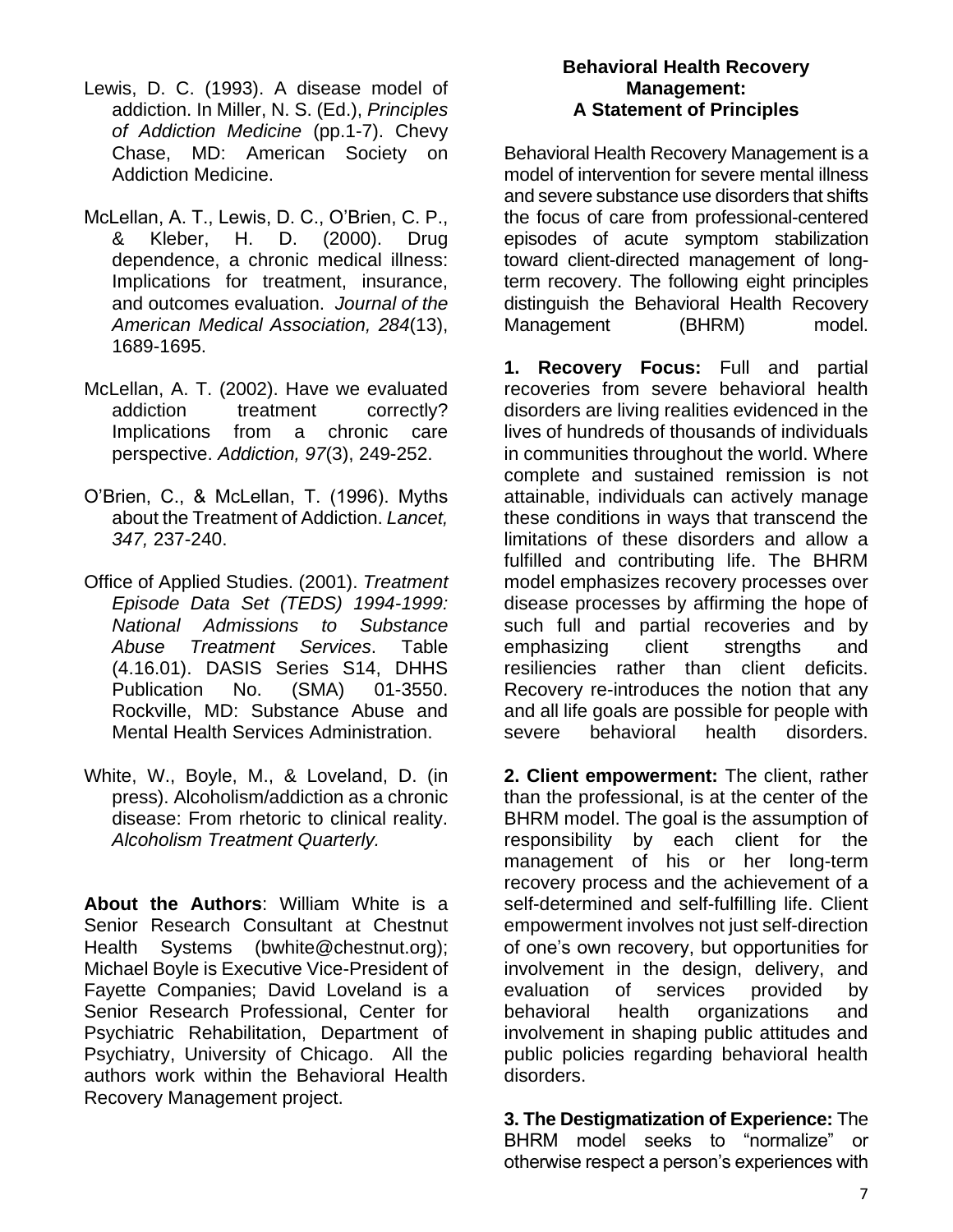- Lewis, D. C. (1993). A disease model of addiction. In Miller, N. S. (Ed.), *Principles of Addiction Medicine* (pp.1-7). Chevy Chase, MD: American Society on Addiction Medicine.
- McLellan, A. T., Lewis, D. C., O'Brien, C. P., & Kleber, H. D. (2000). Drug dependence, a chronic medical illness: Implications for treatment, insurance, and outcomes evaluation. *Journal of the American Medical Association, 284*(13), 1689-1695.
- McLellan, A. T. (2002). Have we evaluated addiction treatment correctly? Implications from a chronic care perspective. *Addiction, 97*(3), 249-252.
- O'Brien, C., & McLellan, T. (1996). Myths about the Treatment of Addiction. *Lancet, 347,* 237-240.
- Office of Applied Studies. (2001). *Treatment Episode Data Set (TEDS) 1994-1999: National Admissions to Substance Abuse Treatment Services*. Table (4.16.01). DASIS Series S14, DHHS Publication No. (SMA) 01-3550. Rockville, MD: Substance Abuse and Mental Health Services Administration.
- White, W., Boyle, M., & Loveland, D. (in press). Alcoholism/addiction as a chronic disease: From rhetoric to clinical reality. *Alcoholism Treatment Quarterly.*

**About the Authors**: William White is a Senior Research Consultant at Chestnut Health Systems (bwhite@chestnut.org); Michael Boyle is Executive Vice-President of Fayette Companies; David Loveland is a Senior Research Professional, Center for Psychiatric Rehabilitation, Department of Psychiatry, University of Chicago. All the authors work within the Behavioral Health Recovery Management project.

#### **Behavioral Health Recovery Management: A Statement of Principles**

Behavioral Health Recovery Management is a model of intervention for severe mental illness and severe substance use disorders that shifts the focus of care from professional-centered episodes of acute symptom stabilization toward client-directed management of longterm recovery. The following eight principles distinguish the Behavioral Health Recovery Management (BHRM) model.

**1. Recovery Focus:** Full and partial recoveries from severe behavioral health disorders are living realities evidenced in the lives of hundreds of thousands of individuals in communities throughout the world. Where complete and sustained remission is not attainable, individuals can actively manage these conditions in ways that transcend the limitations of these disorders and allow a fulfilled and contributing life. The BHRM model emphasizes recovery processes over disease processes by affirming the hope of such full and partial recoveries and by emphasizing client strengths and resiliencies rather than client deficits. Recovery re-introduces the notion that any and all life goals are possible for people with severe behavioral health disorders.

**2. Client empowerment:** The client, rather than the professional, is at the center of the BHRM model. The goal is the assumption of responsibility by each client for the management of his or her long-term recovery process and the achievement of a self-determined and self-fulfilling life. Client empowerment involves not just self-direction of one's own recovery, but opportunities for involvement in the design, delivery, and evaluation of services provided by behavioral health organizations and involvement in shaping public attitudes and public policies regarding behavioral health disorders.

**3. The Destigmatization of Experience:** The BHRM model seeks to "normalize" or otherwise respect a person's experiences with